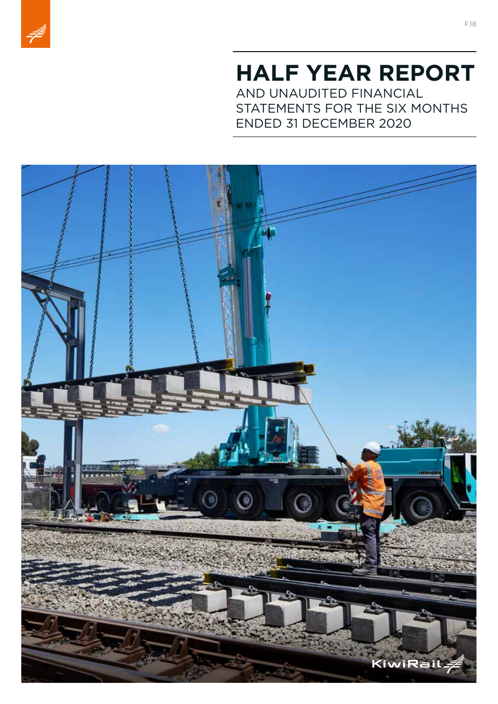

# **HALF YEAR REPORT** AND UNAUDITED FINANCIAL

STATEMENTS FOR THE SIX MONTHS ENDED 31 DECEMBER 2020

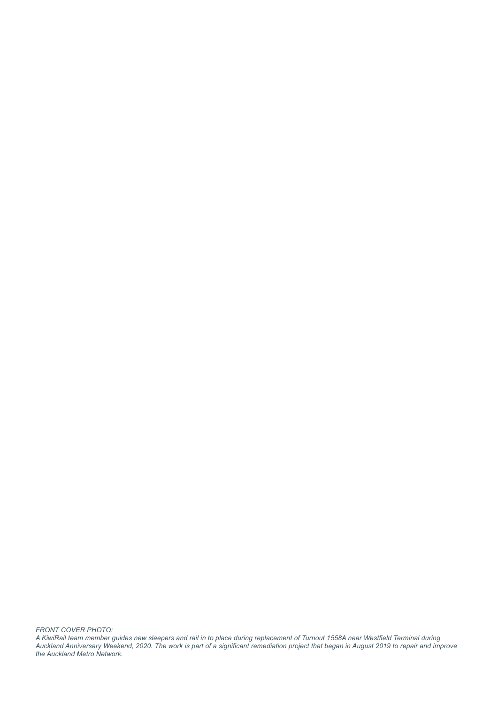*FRONT COVER PHOTO:*

*A KiwiRail team member guides new sleepers and rail in to place during replacement of Turnout 1558A near Westfield Terminal during Auckland Anniversary Weekend, 2020. The work is part of a significant remediation project that began in August 2019 to repair and improve the Auckland Metro Network.*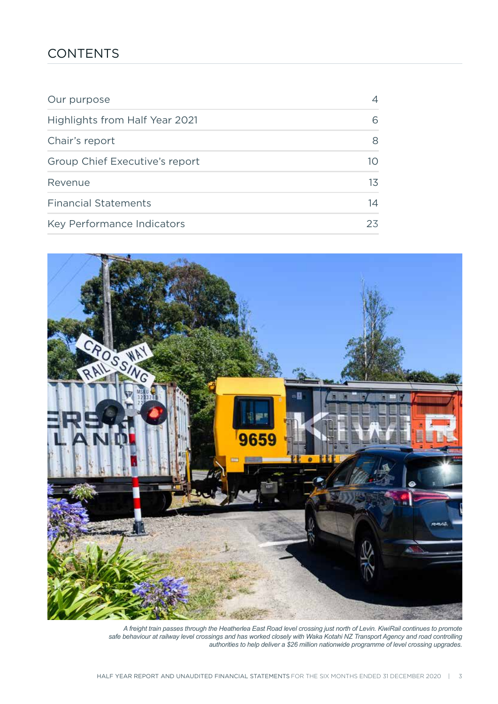### **CONTENTS**

| Our purpose                    | 4  |
|--------------------------------|----|
| Highlights from Half Year 2021 | 6  |
| Chair's report                 | 8  |
| Group Chief Executive's report | 10 |
| Revenue                        | 13 |
| <b>Financial Statements</b>    | 14 |
| Key Performance Indicators     | 23 |



*A freight train passes through the Heatherlea East Road level crossing just north of Levin. KiwiRail continues to promote safe behaviour at railway level crossings and has worked closely with Waka Kotahi NZ Transport Agency and road controlling authorities to help deliver a \$26 million nationwide programme of level crossing upgrades.*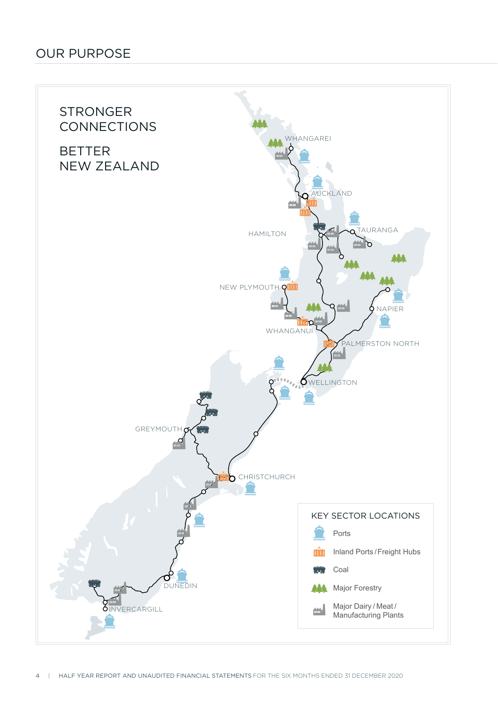### OUR PURPOSE

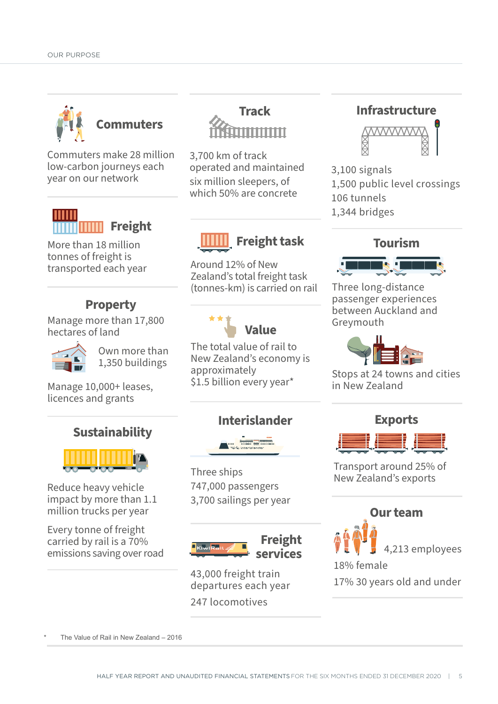

Commuters make 28 million low-carbon journeys each year on our network



More than 18 million tonnes of freight is transported each year

### **Property**

Manage more than 17,800 hectares of land



Own more than 1,350 buildings

Manage 10,000+ leases, licences and grants

### **Sustainability**



Reduce heavy vehicle impact by more than 1.1 million trucks per year

Every tonne of freight carried by rail is a 70% emissions saving over road **Track** mmmm

3,700 km of track operated and maintained six million sleepers, of which 50% are concrete

# **Freight task**

Around 12% of New Zealand's total freight task (tonnes-km) is carried on rail



The total value of rail to New Zealand's economy is approximately \$1.5 billion every year\*

### **Interislander**



Three ships 747,000 passengers 3,700 sailings per year



43,000 freight train departures each year 247 locomotives

### **Infrastructure**



3,100 signals 1,500 public level crossings 106 tunnels 1,344 bridges



Three long-distance passenger experiences between Auckland and Greymouth



Stops at 24 towns and cities in New Zealand



Transport around 25% of New Zealand's exports



17% 30 years old and under

The Value of Rail in New Zealand – 2016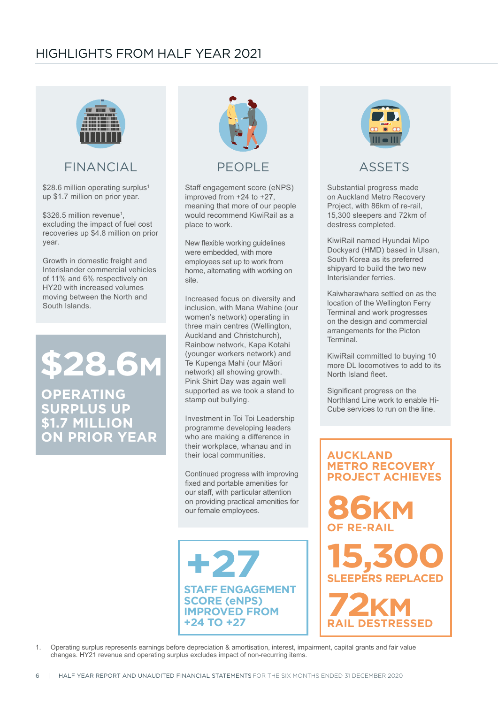

### FINANCIAL

\$28.6 million operating surplus<sup>1</sup> up \$1.7 million on prior year.

\$326.5 million revenue<sup>1</sup>, excluding the impact of fuel cost recoveries up \$4.8 million on prior year.

Growth in domestic freight and Interislander commercial vehicles of 11% and 6% respectively on HY20 with increased volumes moving between the North and South Islands.

**\$28.6M**

**OPERATING SURPLUS UP \$1.7 MILLION ON PRIOR YEAR**



### PFOPI<sub>F</sub>

Staff engagement score (eNPS) improved from +24 to +27, meaning that more of our people would recommend KiwiRail as a place to work.

New flexible working guidelines were embedded, with more employees set up to work from home, alternating with working on site.

Increased focus on diversity and inclusion, with Mana Wahine (our women's network) operating in three main centres (Wellington, Auckland and Christchurch), Rainbow network, Kapa Kotahi (younger workers network) and Te Kupenga Mahi (our Māori network) all showing growth. Pink Shirt Day was again well supported as we took a stand to stamp out bullying.

Investment in Toi Toi Leadership programme developing leaders who are making a difference in their workplace, whanau and in their local communities.

Continued progress with improving fixed and portable amenities for our staff, with particular attention on providing practical amenities for our female employees.

**STAFF ENGAGEMENT SCORE (eNPS) IMPROVED FROM +24 TO +27 +27**



### ASSETS

Substantial progress made on Auckland Metro Recovery Project, with 86km of re-rail, 15,300 sleepers and 72km of destress completed.

KiwiRail named Hyundai Mipo Dockyard (HMD) based in Ulsan, South Korea as its preferred shipyard to build the two new Interislander ferries.

Kaiwharawhara settled on as the location of the Wellington Ferry Terminal and work progresses on the design and commercial arrangements for the Picton Terminal.

KiwiRail committed to buying 10 more DL locomotives to add to its North Island fleet.

Significant progress on the Northland Line work to enable Hi-Cube services to run on the line.



1. Operating surplus represents earnings before depreciation & amortisation, interest, impairment, capital grants and fair value changes. HY21 revenue and operating surplus excludes impact of non-recurring items.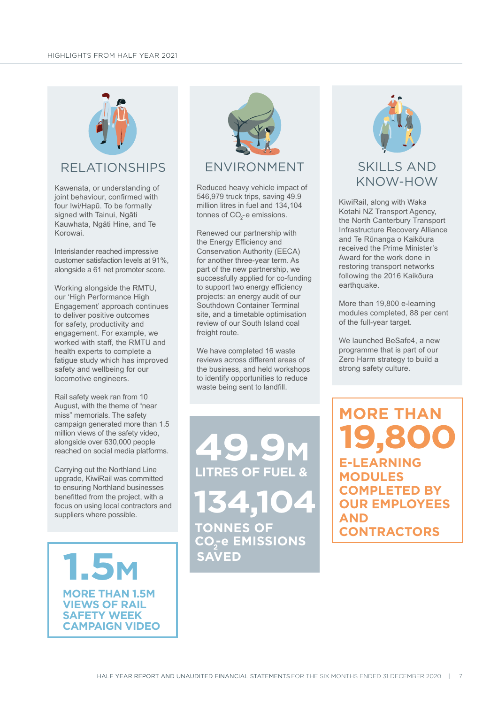

### RELATIONSHIPS

Kawenata, or understanding of joint behaviour, confirmed with four Iwi/Hapū. To be formally signed with Tainui, Ngāti Kauwhata, Ngāti Hine, and Te Korowai.

Interislander reached impressive customer satisfaction levels at 91%, alongside a 61 net promoter score.

Working alongside the RMTU, our 'High Performance High Engagement' approach continues to deliver positive outcomes for safety, productivity and engagement. For example, we worked with staff, the RMTU and health experts to complete a fatigue study which has improved safety and wellbeing for our locomotive engineers.

Rail safety week ran from 10 August, with the theme of "near miss" memorials. The safety campaign generated more than 1.5 million views of the safety video, alongside over 630,000 people reached on social media platforms.

Carrying out the Northland Line upgrade, KiwiRail was committed to ensuring Northland businesses benefitted from the project, with a focus on using local contractors and suppliers where possible.

**MORE THAN 1.5M VIEWS OF RAIL SAFETY WEEK CAMPAIGN VIDEO 1.5M**



Reduced heavy vehicle impact of 546,979 truck trips, saving 49.9 million litres in fuel and 134,104 tonnes of CO $_2$ -e emissions.

Renewed our partnership with the Energy Efficiency and Conservation Authority (EECA) for another three-year term. As part of the new partnership, we successfully applied for co-funding to support two energy efficiency projects: an energy audit of our Southdown Container Terminal site, and a timetable optimisation review of our South Island coal freight route.

We have completed 16 waste reviews across different areas of the business, and held workshops to identify opportunities to reduce waste being sent to landfill.

**RES OF FUEL TONNES OF**  CO<sub>2</sub>-e EMISSIONS **134,104 49.9M SAVED**



### SKILLS AND KNOW-HOW

KiwiRail, along with Waka Kotahi NZ Transport Agency, the North Canterbury Transport Infrastructure Recovery Alliance and Te Rūnanga o Kaikōura received the Prime Minister's Award for the work done in restoring transport networks following the 2016 Kaikōura earthquake.

More than 19,800 e-learning modules completed, 88 per cent of the full-year target.

We launched BeSafe4, a new programme that is part of our Zero Harm strategy to build a strong safety culture.

**MORE THAN E-LEARNING MODULES COMPLETED BY OUR EMPLOYEES AND CONTRACTORS 19,800**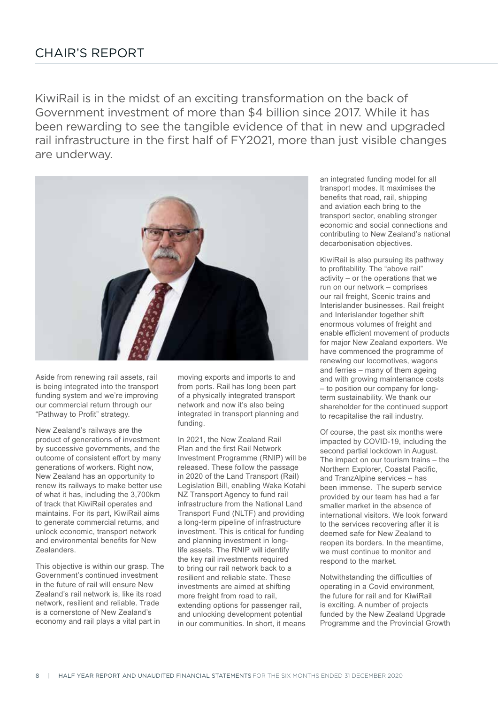KiwiRail is in the midst of an exciting transformation on the back of Government investment of more than \$4 billion since 2017. While it has been rewarding to see the tangible evidence of that in new and upgraded rail infrastructure in the first half of FY2021, more than just visible changes are underway.



Aside from renewing rail assets, rail is being integrated into the transport funding system and we're improving our commercial return through our "Pathway to Profit" strategy.

New Zealand's railways are the product of generations of investment by successive governments, and the outcome of consistent effort by many generations of workers. Right now, New Zealand has an opportunity to renew its railways to make better use of what it has, including the 3,700km of track that KiwiRail operates and maintains. For its part, KiwiRail aims to generate commercial returns, and unlock economic, transport network and environmental benefits for New Zealanders.

This objective is within our grasp. The Government's continued investment in the future of rail will ensure New Zealand's rail network is, like its road network, resilient and reliable. Trade is a cornerstone of New Zealand's economy and rail plays a vital part in

moving exports and imports to and from ports. Rail has long been part of a physically integrated transport network and now it's also being integrated in transport planning and funding.

In 2021, the New Zealand Rail Plan and the first Rail Network Investment Programme (RNIP) will be released. These follow the passage in 2020 of the Land Transport (Rail) Legislation Bill, enabling Waka Kotahi NZ Transport Agency to fund rail infrastructure from the National Land Transport Fund (NLTF) and providing a long-term pipeline of infrastructure investment. This is critical for funding and planning investment in longlife assets. The RNIP will identify the key rail investments required to bring our rail network back to a resilient and reliable state. These investments are aimed at shifting more freight from road to rail, extending options for passenger rail, and unlocking development potential in our communities. In short, it means

an integrated funding model for all transport modes. It maximises the benefits that road, rail, shipping and aviation each bring to the transport sector, enabling stronger economic and social connections and contributing to New Zealand's national decarbonisation objectives.

KiwiRail is also pursuing its pathway to profitability. The "above rail" activity – or the operations that we run on our network – comprises our rail freight, Scenic trains and Interislander businesses. Rail freight and Interislander together shift enormous volumes of freight and enable efficient movement of products for major New Zealand exporters. We have commenced the programme of renewing our locomotives, wagons and ferries – many of them ageing and with growing maintenance costs – to position our company for longterm sustainability. We thank our shareholder for the continued support to recapitalise the rail industry.

Of course, the past six months were impacted by COVID-19, including the second partial lockdown in August. The impact on our tourism trains – the Northern Explorer, Coastal Pacific, and TranzAlpine services – has been immense. The superb service provided by our team has had a far smaller market in the absence of international visitors. We look forward to the services recovering after it is deemed safe for New Zealand to reopen its borders. In the meantime, we must continue to monitor and respond to the market.

Notwithstanding the difficulties of operating in a Covid environment, the future for rail and for KiwiRail is exciting. A number of projects funded by the New Zealand Upgrade Programme and the Provincial Growth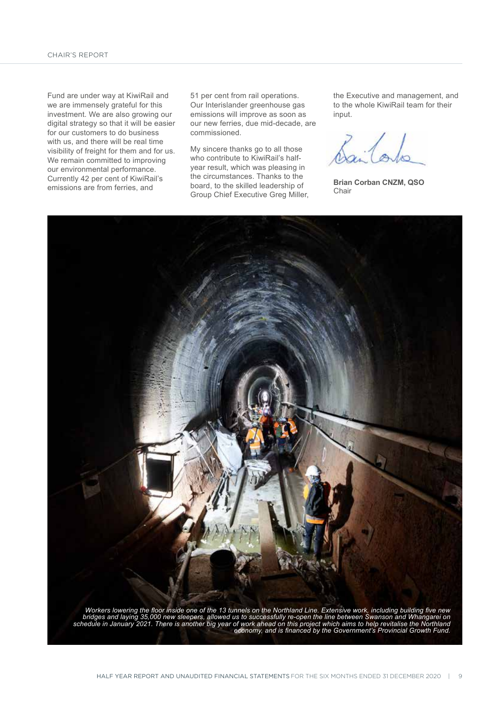Fund are under way at KiwiRail and we are immensely grateful for this investment. We are also growing our digital strategy so that it will be easier for our customers to do business with us, and there will be real time visibility of freight for them and for us. We remain committed to improving our environmental performance. Currently 42 per cent of KiwiRail's emissions are from ferries, and

51 per cent from rail operations. Our Interislander greenhouse gas emissions will improve as soon as our new ferries, due mid-decade, are commissioned.

My sincere thanks go to all those who contribute to KiwiRail's halfyear result, which was pleasing in the circumstances. Thanks to the board, to the skilled leadership of Group Chief Executive Greg Miller, the Executive and management, and to the whole KiwiRail team for their input.

**Brian Corban CNZM, QSO** Chair



*Workers lowering the floor inside one of the 13 tunnels on the Northland Line. Extensive work, including building five new bridges and laying 35,000 new sleepers, allowed us to successfully re-open the line between Swanson and Whangarei on schedule in January 2021. There is another big year of work ahead on this project which aims to help revitalise the Northland economy, and is financed by the Government's Provincial Growth Fund.*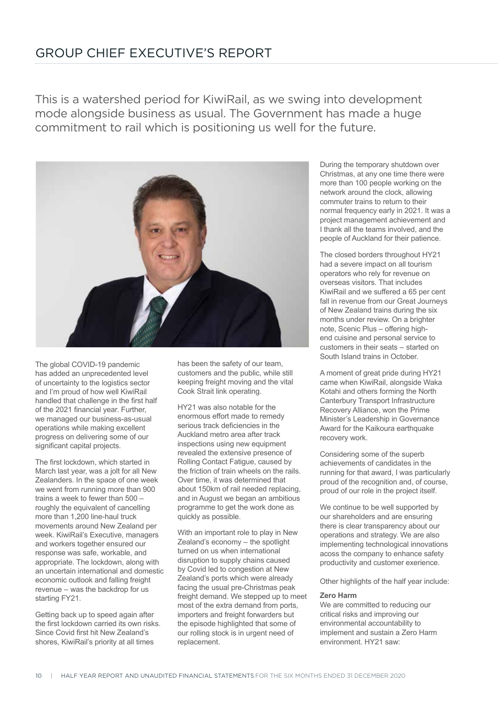### GROUP CHIEF EXECUTIVE'S REPORT

This is a watershed period for KiwiRail, as we swing into development mode alongside business as usual. The Government has made a huge commitment to rail which is positioning us well for the future.



The global COVID-19 pandemic has added an unprecedented level of uncertainty to the logistics sector and I'm proud of how well KiwiRail handled that challenge in the first half of the 2021 financial year. Further, we managed our business-as-usual operations while making excellent progress on delivering some of our significant capital projects.

The first lockdown, which started in March last year, was a jolt for all New Zealanders. In the space of one week we went from running more than 900 trains a week to fewer than 500 – roughly the equivalent of cancelling more than 1,200 line-haul truck movements around New Zealand per week. KiwiRail's Executive, managers and workers together ensured our response was safe, workable, and appropriate. The lockdown, along with an uncertain international and domestic economic outlook and falling freight revenue – was the backdrop for us starting FY21.

Getting back up to speed again after the first lockdown carried its own risks. Since Covid first hit New Zealand's shores, KiwiRail's priority at all times

has been the safety of our team, customers and the public, while still keeping freight moving and the vital Cook Strait link operating.

HY21 was also notable for the enormous effort made to remedy serious track deficiencies in the Auckland metro area after track inspections using new equipment revealed the extensive presence of Rolling Contact Fatigue, caused by the friction of train wheels on the rails. Over time, it was determined that about 150km of rail needed replacing, and in August we began an ambitious programme to get the work done as quickly as possible.

With an important role to play in New Zealand's economy – the spotlight turned on us when international disruption to supply chains caused by Covid led to congestion at New Zealand's ports which were already facing the usual pre-Christmas peak freight demand. We stepped up to meet most of the extra demand from ports, importers and freight forwarders but the episode highlighted that some of our rolling stock is in urgent need of replacement.

During the temporary shutdown over Christmas, at any one time there were more than 100 people working on the network around the clock, allowing commuter trains to return to their normal frequency early in 2021. It was a project management achievement and I thank all the teams involved, and the people of Auckland for their patience.

The closed borders throughout HY21 had a severe impact on all tourism operators who rely for revenue on overseas visitors. That includes KiwiRail and we suffered a 65 per cent fall in revenue from our Great Journeys of New Zealand trains during the six months under review. On a brighter note, Scenic Plus – offering highend cuisine and personal service to customers in their seats – started on South Island trains in October.

A moment of great pride during HY21 came when KiwiRail, alongside Waka Kotahi and others forming the North Canterbury Transport Infrastructure Recovery Alliance, won the Prime Minister's Leadership in Governance Award for the Kaikoura earthquake recovery work.

Considering some of the superb achievements of candidates in the running for that award, I was particularly proud of the recognition and, of course, proud of our role in the project itself.

We continue to be well supported by our shareholders and are ensuring there is clear transparency about our operations and strategy. We are also implementing technological innovations acoss the company to enhance safety productivity and customer exerience.

Other highlights of the half year include:

#### **Zero Harm**

We are committed to reducing our critical risks and improving our environmental accountability to implement and sustain a Zero Harm environment. HY21 saw: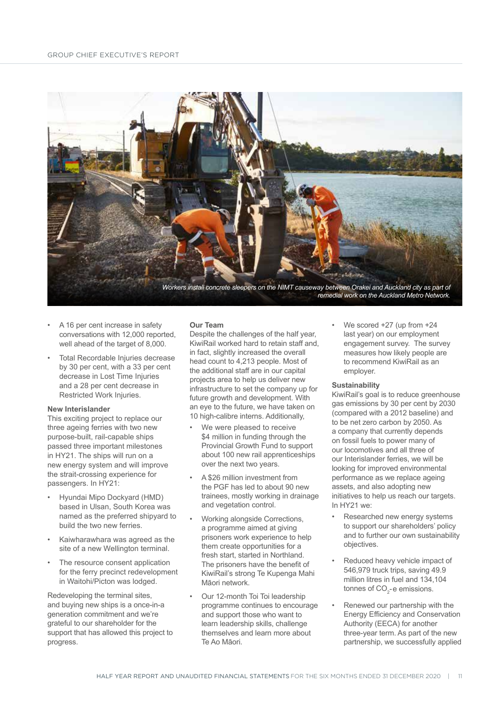

- A 16 per cent increase in safety conversations with 12,000 reported, well ahead of the target of 8,000.
- Total Recordable Injuries decrease by 30 per cent, with a 33 per cent decrease in Lost Time Injuries and a 28 per cent decrease in Restricted Work Injuries.

#### **New Interislander**

This exciting project to replace our three ageing ferries with two new purpose-built, rail-capable ships passed three important milestones in HY21. The ships will run on a new energy system and will improve the strait-crossing experience for passengers. In HY21:

- Hyundai Mipo Dockyard (HMD) based in Ulsan, South Korea was named as the preferred shipyard to build the two new ferries.
- Kaiwharawhara was agreed as the site of a new Wellington terminal.
- The resource consent application for the ferry precinct redevelopment in Waitohi/Picton was lodged.

Redeveloping the terminal sites, and buying new ships is a once-in-a generation commitment and we're grateful to our shareholder for the support that has allowed this project to progress.

#### **Our Team**

Despite the challenges of the half year, KiwiRail worked hard to retain staff and, in fact, slightly increased the overall head count to 4,213 people. Most of the additional staff are in our capital projects area to help us deliver new infrastructure to set the company up for future growth and development. With an eye to the future, we have taken on 10 high-calibre interns. Additionally,

- We were pleased to receive \$4 million in funding through the Provincial Growth Fund to support about 100 new rail apprenticeships over the next two years.
- A \$26 million investment from the PGF has led to about 90 new trainees, mostly working in drainage and vegetation control.
- Working alongside Corrections, a programme aimed at giving prisoners work experience to help them create opportunities for a fresh start, started in Northland. The prisoners have the benefit of KiwiRail's strong Te Kupenga Mahi Māori network.
- Our 12-month Toi Toi leadership programme continues to encourage and support those who want to learn leadership skills, challenge themselves and learn more about Te Ao Māori.

We scored  $+27$  (up from  $+24$ last year) on our employment engagement survey. The survey measures how likely people are to recommend KiwiRail as an employer.

#### **Sustainability**

KiwiRail's goal is to reduce greenhouse gas emissions by 30 per cent by 2030 (compared with a 2012 baseline) and to be net zero carbon by 2050. As a company that currently depends on fossil fuels to power many of our locomotives and all three of our Interislander ferries, we will be looking for improved environmental performance as we replace ageing assets, and also adopting new initiatives to help us reach our targets. In HY21 we:

- Researched new energy systems to support our shareholders' policy and to further our own sustainability objectives.
- Reduced heavy vehicle impact of 546,979 truck trips, saving 49.9 million litres in fuel and 134,104 tonnes of CO $_2$ -e emissions.
- Renewed our partnership with the Energy Efficiency and Conservation Authority (EECA) for another three-year term. As part of the new partnership, we successfully applied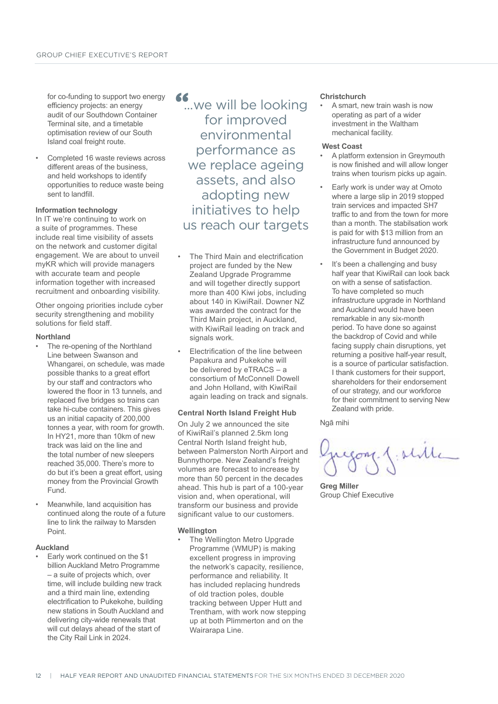for co-funding to support two energy efficiency projects: an energy audit of our Southdown Container Terminal site, and a timetable optimisation review of our South Island coal freight route.

• Completed 16 waste reviews across different areas of the business, and held workshops to identify opportunities to reduce waste being sent to landfill.

#### **Information technology**

In IT we're continuing to work on a suite of programmes. These include real time visibility of assets on the network and customer digital engagement. We are about to unveil myKR which will provide managers with accurate team and people information together with increased recruitment and onboarding visibility.

Other ongoing priorities include cyber security strengthening and mobility solutions for field staff.

#### **Northland**

- The re-opening of the Northland Line between Swanson and Whangarei, on schedule, was made possible thanks to a great effort by our staff and contractors who lowered the floor in 13 tunnels, and replaced five bridges so trains can take hi-cube containers. This gives us an initial capacity of 200,000 tonnes a year, with room for growth. In HY21, more than 10km of new track was laid on the line and the total number of new sleepers reached 35,000. There's more to do but it's been a great effort, using money from the Provincial Growth Fund.
- Meanwhile, land acquisition has continued along the route of a future line to link the railway to Marsden Point.

#### **Auckland**

• Early work continued on the \$1 billion Auckland Metro Programme – a suite of projects which, over time, will include building new track and a third main line, extending electrification to Pukekohe, building new stations in South Auckland and delivering city-wide renewals that will cut delays ahead of the start of the City Rail Link in 2024.

## <sup>66</sup> ... we will be looking for improved environmental performance as we replace ageing assets, and also adopting new initiatives to help us reach our targets

- The Third Main and electrification project are funded by the New Zealand Upgrade Programme and will together directly support more than 400 Kiwi jobs, including about 140 in KiwiRail. Downer NZ was awarded the contract for the Third Main project, in Auckland, with KiwiRail leading on track and signals work.
- Electrification of the line between Papakura and Pukekohe will be delivered by eTRACS – a consortium of McConnell Dowell and John Holland, with KiwiRail again leading on track and signals.

#### **Central North Island Freight Hub**

On July 2 we announced the site of KiwiRail's planned 2.5km long Central North Island freight hub, between Palmerston North Airport and Bunnythorpe. New Zealand's freight volumes are forecast to increase by more than 50 percent in the decades ahead. This hub is part of a 100-year vision and, when operational, will transform our business and provide significant value to our customers.

#### **Wellington**

The Wellington Metro Upgrade Programme (WMUP) is making excellent progress in improving the network's capacity, resilience, performance and reliability. It has included replacing hundreds of old traction poles, double tracking between Upper Hutt and Trentham, with work now stepping up at both Plimmerton and on the Wairarapa Line.

#### **Christchurch**

• A smart, new train wash is now operating as part of a wider investment in the Waltham mechanical facility.

#### **West Coast**

- A platform extension in Greymouth is now finished and will allow longer trains when tourism picks up again.
- Early work is under way at Omoto where a large slip in 2019 stopped train services and impacted SH7 traffic to and from the town for more than a month. The stabilsation work is paid for with \$13 million from an infrastructure fund announced by the Government in Budget 2020.
- It's been a challenging and busy half year that KiwiRail can look back on with a sense of satisfaction. To have completed so much infrastructure upgrade in Northland and Auckland would have been remarkable in any six-month period. To have done so against the backdrop of Covid and while facing supply chain disruptions, yet returning a positive half-year result, is a source of particular satisfaction. I thank customers for their support, shareholders for their endorsement of our strategy, and our workforce for their commitment to serving New Zealand with pride.

Ngā mihi

**Greg Miller** Group Chief Executive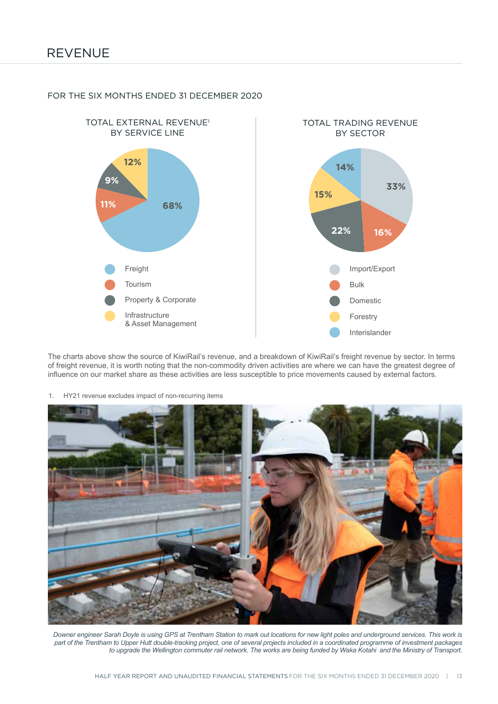

#### FOR THE SIX MONTHS ENDED 31 DECEMBER 2020

The charts above show the source of KiwiRail's revenue, and a breakdown of KiwiRail's freight revenue by sector. In terms of freight revenue, it is worth noting that the non-commodity driven activities are where we can have the greatest degree of influence on our market share as these activities are less susceptible to price movements caused by external factors.

1. HY21 revenue excludes impact of non-recurring items



*Downer engineer Sarah Doyle is using GPS at Trentham Station to mark out locations for new light poles and underground services. This work is part of the Trentham to Upper Hutt double-tracking project, one of several projects included in a coordinated programme of investment packages to upgrade the Wellington commuter rail network. The works are being funded by Waka Kotahi and the Ministry of Transport.*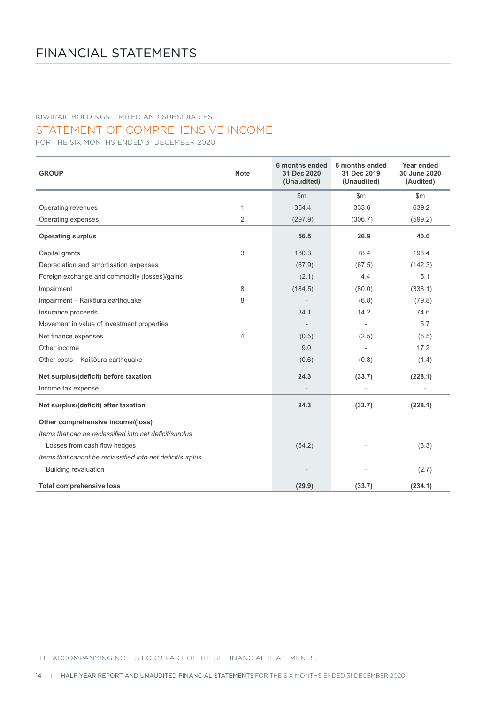STATEMENT OF COMPREHENSIVE INCOME

FOR THE SIX MONTHS ENDED 31 DECEMBER 2020

| <b>GROUP</b>                                               | <b>Note</b>    | 6 months ended<br>31 Dec 2020<br>(Unaudited) | 6 months ended<br>31 Dec 2019<br>(Unaudited) | Year ended<br>30 June 2020<br>(Audited) |
|------------------------------------------------------------|----------------|----------------------------------------------|----------------------------------------------|-----------------------------------------|
|                                                            |                | \$m\$                                        | \$m                                          | \$m\$                                   |
| Operating revenues                                         | 1              | 354.4                                        | 333.6                                        | 639.2                                   |
| Operating expenses                                         | $\overline{2}$ | (297.9)                                      | (306.7)                                      | (599.2)                                 |
| <b>Operating surplus</b>                                   |                | 56.5                                         | 26.9                                         | 40.0                                    |
| Capital grants                                             | 3              | 180.3                                        | 78.4                                         | 196.4                                   |
| Depreciation and amortisation expenses                     |                | (67.9)                                       | (67.5)                                       | (142.3)                                 |
| Foreign exchange and commodity (losses)/gains              |                | (2.1)                                        | 4.4                                          | 5.1                                     |
| Impairment                                                 | 8              | (184.5)                                      | (80.0)                                       | (338.1)                                 |
| Impairment - Kaikōura earthquake                           | 8              |                                              | (6.8)                                        | (79.8)                                  |
| Insurance proceeds                                         |                | 34.1                                         | 14.2                                         | 74.6                                    |
| Movement in value of investment properties                 |                |                                              |                                              | 5.7                                     |
| Net finance expenses                                       | $\overline{4}$ | (0.5)                                        | (2.5)                                        | (5.5)                                   |
| Other income                                               |                | 9.0                                          |                                              | 17.2                                    |
| Other costs - Kaikōura earthquake                          |                | (0.6)                                        | (0.8)                                        | (1.4)                                   |
| Net surplus/(deficit) before taxation                      |                | 24.3                                         | (33.7)                                       | (228.1)                                 |
| Income tax expense                                         |                |                                              |                                              |                                         |
| Net surplus/(deficit) after taxation                       |                | 24.3                                         | (33.7)                                       | (228.1)                                 |
| Other comprehensive income/(loss)                          |                |                                              |                                              |                                         |
| Items that can be reclassified into net deficit/surplus    |                |                                              |                                              |                                         |
| Losses from cash flow hedges                               |                | (54.2)                                       |                                              | (3.3)                                   |
| Items that cannot be reclassified into net deficit/surplus |                |                                              |                                              |                                         |
| <b>Building revaluation</b>                                |                |                                              |                                              | (2.7)                                   |
| <b>Total comprehensive loss</b>                            |                | (29.9)                                       | (33.7)                                       | (234.1)                                 |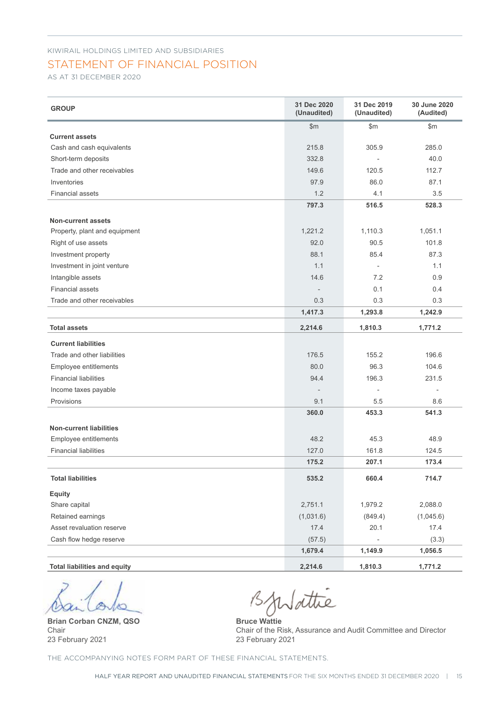### STATEMENT OF FINANCIAL POSITION

AS AT 31 DECEMBER 2020

| <b>GROUP</b>                        | 31 Dec 2020<br>(Unaudited)   | 31 Dec 2019<br>(Unaudited) | 30 June 2020<br>(Audited) |
|-------------------------------------|------------------------------|----------------------------|---------------------------|
| <b>Current assets</b>               | $\mathsf{Sm}$                | \$m\$                      | \$m\$                     |
| Cash and cash equivalents           | 215.8                        | 305.9                      | 285.0                     |
| Short-term deposits                 | 332.8                        |                            | 40.0                      |
| Trade and other receivables         | 149.6                        | 120.5                      | 112.7                     |
| Inventories                         | 97.9                         | 86.0                       | 87.1                      |
| <b>Financial assets</b>             | 1.2                          | 4.1                        | 3.5                       |
|                                     | 797.3                        | 516.5                      | 528.3                     |
|                                     |                              |                            |                           |
| <b>Non-current assets</b>           |                              |                            |                           |
| Property, plant and equipment       | 1,221.2                      | 1,110.3                    | 1,051.1                   |
| Right of use assets                 | 92.0                         | 90.5                       | 101.8                     |
| Investment property                 | 88.1                         | 85.4                       | 87.3                      |
| Investment in joint venture         | 1.1                          | $\mathcal{L}$              | 1.1                       |
| Intangible assets                   | 14.6                         | 7.2                        | 0.9                       |
| <b>Financial assets</b>             | $\qquad \qquad \blacksquare$ | 0.1                        | 0.4                       |
| Trade and other receivables         | 0.3                          | 0.3                        | 0.3                       |
|                                     | 1,417.3                      | 1,293.8                    | 1,242.9                   |
| <b>Total assets</b>                 | 2,214.6                      | 1,810.3                    | 1,771.2                   |
| <b>Current liabilities</b>          |                              |                            |                           |
| Trade and other liabilities         | 176.5                        | 155.2                      | 196.6                     |
| Employee entitlements               | 80.0                         | 96.3                       | 104.6                     |
| <b>Financial liabilities</b>        | 94.4                         | 196.3                      | 231.5                     |
| Income taxes payable                | $\overline{\phantom{a}}$     | $\overline{\phantom{a}}$   | $\overline{\phantom{a}}$  |
| Provisions                          | 9.1                          | 5.5                        | 8.6                       |
|                                     | 360.0                        | 453.3                      | 541.3                     |
| <b>Non-current liabilities</b>      |                              |                            |                           |
| Employee entitlements               | 48.2                         | 45.3                       | 48.9                      |
| <b>Financial liabilities</b>        | 127.0                        | 161.8                      | 124.5                     |
|                                     | 175.2                        | 207.1                      | 173.4                     |
| <b>Total liabilities</b>            | 535.2                        | 660.4                      | 714.7                     |
| <b>Equity</b>                       |                              |                            |                           |
| Share capital                       | 2,751.1                      | 1,979.2                    | 2,088.0                   |
| Retained earnings                   | (1,031.6)                    | (849.4)                    | (1,045.6)                 |
| Asset revaluation reserve           | 17.4                         | 20.1                       | 17.4                      |
| Cash flow hedge reserve             | (57.5)                       |                            | (3.3)                     |
|                                     | 1,679.4                      | 1,149.9                    | 1,056.5                   |
| <b>Total liabilities and equity</b> | 2,214.6                      | 1,810.3                    | 1,771.2                   |

**Brian Corban CNZM, QSO** Chair 23 February 2021

BjWattie

**Bruce Wattie** Chair of the Risk, Assurance and Audit Committee and Director 23 February 2021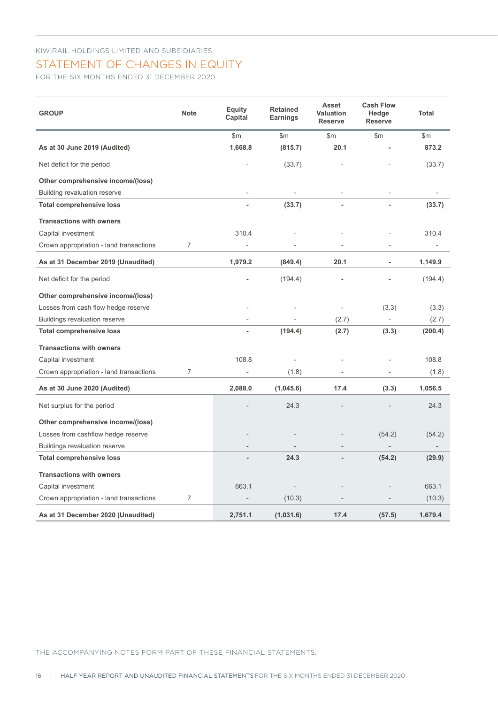### STATEMENT OF CHANGES IN EQUITY

FOR THE SIX MONTHS ENDED 31 DECEMBER 2020

| <b>GROUP</b>                            | <b>Note</b>    | <b>Equity</b><br>Capital | <b>Retained</b><br><b>Earnings</b> | <b>Asset</b><br><b>Valuation</b><br><b>Reserve</b> | <b>Cash Flow</b><br>Hedge<br><b>Reserve</b> | <b>Total</b>             |
|-----------------------------------------|----------------|--------------------------|------------------------------------|----------------------------------------------------|---------------------------------------------|--------------------------|
|                                         |                | \$m\$                    | \$m                                | \$m\$                                              | \$m\$                                       | \$m\$                    |
| As at 30 June 2019 (Audited)            |                | 1,668.8                  | (815.7)                            | 20.1                                               |                                             | 873.2                    |
| Net deficit for the period              |                |                          | (33.7)                             |                                                    |                                             | (33.7)                   |
| Other comprehensive income/(loss)       |                |                          |                                    |                                                    |                                             |                          |
| <b>Building revaluation reserve</b>     |                | $\overline{a}$           | L,                                 |                                                    |                                             |                          |
| <b>Total comprehensive loss</b>         |                |                          | (33.7)                             |                                                    |                                             | (33.7)                   |
| <b>Transactions with owners</b>         |                |                          |                                    |                                                    |                                             |                          |
| Capital investment                      |                | 310.4                    |                                    |                                                    |                                             | 310.4                    |
| Crown appropriation - land transactions | $\overline{7}$ |                          |                                    |                                                    |                                             |                          |
| As at 31 December 2019 (Unaudited)      |                | 1,979.2                  | (849.4)                            | 20.1                                               |                                             | 1,149.9                  |
| Net deficit for the period              |                |                          | (194.4)                            |                                                    |                                             | (194.4)                  |
| Other comprehensive income/(loss)       |                |                          |                                    |                                                    |                                             |                          |
| Losses from cash flow hedge reserve     |                |                          |                                    | ÷,                                                 | (3.3)                                       | (3.3)                    |
| <b>Buildings revaluation reserve</b>    |                | $\overline{a}$           |                                    | (2.7)                                              |                                             | (2.7)                    |
| <b>Total comprehensive loss</b>         |                | ä,                       | (194.4)                            | (2.7)                                              | (3.3)                                       | (200.4)                  |
| <b>Transactions with owners</b>         |                |                          |                                    |                                                    |                                             |                          |
| Capital investment                      |                | 108.8                    |                                    |                                                    |                                             | 108.8                    |
| Crown appropriation - land transactions | $\overline{7}$ |                          | (1.8)                              |                                                    |                                             | (1.8)                    |
| As at 30 June 2020 (Audited)            |                | 2,088.0                  | (1,045.6)                          | 17.4                                               | (3.3)                                       | 1,056.5                  |
| Net surplus for the period              |                |                          | 24.3                               |                                                    |                                             | 24.3                     |
| Other comprehensive income/(loss)       |                |                          |                                    |                                                    |                                             |                          |
| Losses from cashflow hedge reserve      |                |                          |                                    |                                                    | (54.2)                                      | (54.2)                   |
| <b>Buildings revaluation reserve</b>    |                |                          |                                    |                                                    | $\overline{\phantom{a}}$                    | $\overline{\phantom{a}}$ |
| <b>Total comprehensive loss</b>         |                |                          | 24.3                               |                                                    | (54.2)                                      | (29.9)                   |
| <b>Transactions with owners</b>         |                |                          |                                    |                                                    |                                             |                          |
| Capital investment                      |                | 663.1                    |                                    |                                                    |                                             | 663.1                    |
| Crown appropriation - land transactions | $\overline{7}$ |                          | (10.3)                             |                                                    |                                             | (10.3)                   |
| As at 31 December 2020 (Unaudited)      |                | 2.751.1                  | (1,031.6)                          | 17.4                                               | (57.5)                                      | 1.679.4                  |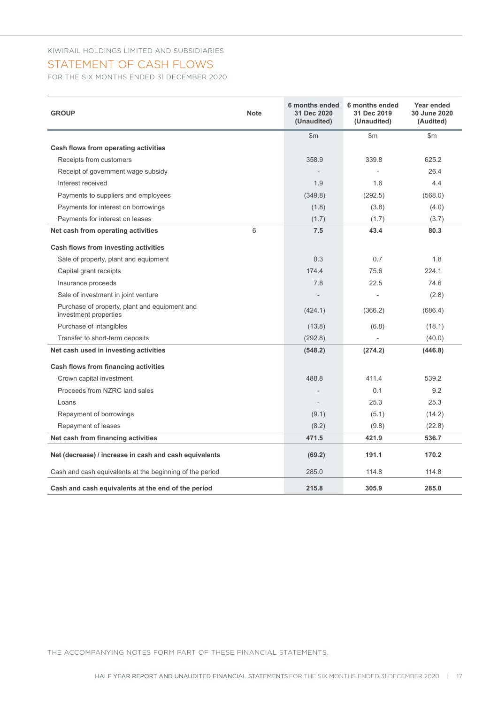#### STATEMENT OF CASH FLOWS

FOR THE SIX MONTHS ENDED 31 DECEMBER 2020

| <b>GROUP</b><br><b>Note</b>                                            | 6 months ended<br>31 Dec 2020<br>(Unaudited) | 6 months ended<br>31 Dec 2019<br>(Unaudited) | Year ended<br>30 June 2020<br>(Audited) |
|------------------------------------------------------------------------|----------------------------------------------|----------------------------------------------|-----------------------------------------|
|                                                                        | \$m\$                                        | \$m                                          | \$m                                     |
| Cash flows from operating activities                                   |                                              |                                              |                                         |
| Receipts from customers                                                | 358.9                                        | 339.8                                        | 625.2                                   |
| Receipt of government wage subsidy                                     |                                              |                                              | 26.4                                    |
| Interest received                                                      | 1.9                                          | 1.6                                          | 4.4                                     |
| Payments to suppliers and employees                                    | (349.8)                                      | (292.5)                                      | (568.0)                                 |
| Payments for interest on borrowings                                    | (1.8)                                        | (3.8)                                        | (4.0)                                   |
| Payments for interest on leases                                        | (1.7)                                        | (1.7)                                        | (3.7)                                   |
| 6<br>Net cash from operating activities                                | 7.5                                          | 43.4                                         | 80.3                                    |
| Cash flows from investing activities                                   |                                              |                                              |                                         |
| Sale of property, plant and equipment                                  | 0.3                                          | 0.7                                          | 1.8                                     |
| Capital grant receipts                                                 | 174.4                                        | 75.6                                         | 224.1                                   |
| Insurance proceeds                                                     | 7.8                                          | 22.5                                         | 74.6                                    |
| Sale of investment in joint venture                                    |                                              |                                              | (2.8)                                   |
| Purchase of property, plant and equipment and<br>investment properties | (424.1)                                      | (366.2)                                      | (686.4)                                 |
| Purchase of intangibles                                                | (13.8)                                       | (6.8)                                        | (18.1)                                  |
| Transfer to short-term deposits                                        | (292.8)                                      |                                              | (40.0)                                  |
| Net cash used in investing activities                                  | (548.2)                                      | (274.2)                                      | (446.8)                                 |
| Cash flows from financing activities                                   |                                              |                                              |                                         |
| Crown capital investment                                               | 488.8                                        | 411.4                                        | 539.2                                   |
| Proceeds from NZRC land sales                                          |                                              | 0.1                                          | 9.2                                     |
| Loans                                                                  | $\overline{\phantom{a}}$                     | 25.3                                         | 25.3                                    |
| Repayment of borrowings                                                | (9.1)                                        | (5.1)                                        | (14.2)                                  |
| Repayment of leases                                                    | (8.2)                                        | (9.8)                                        | (22.8)                                  |
| Net cash from financing activities                                     | 471.5                                        | 421.9                                        | 536.7                                   |
| Net (decrease) / increase in cash and cash equivalents                 | (69.2)                                       | 191.1                                        | 170.2                                   |
| Cash and cash equivalents at the beginning of the period               | 285.0                                        | 114.8                                        | 114.8                                   |
| Cash and cash equivalents at the end of the period                     | 215.8                                        | 305.9                                        | 285.0                                   |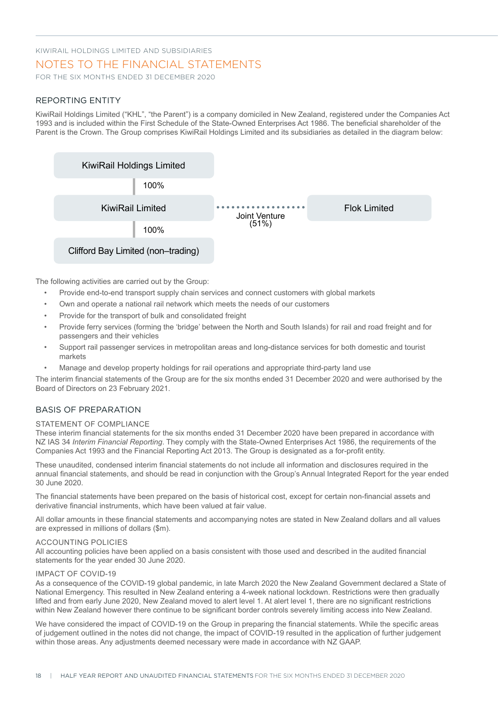#### NOTES TO THE FINANCIAL STATEMENTS

FOR THE SIX MONTHS ENDED 31 DECEMBER 2020

#### REPORTING ENTITY

KiwiRail Holdings Limited ("KHL", "the Parent") is a company domiciled in New Zealand, registered under the Companies Act 1993 and is included within the First Schedule of the State-Owned Enterprises Act 1986. The beneficial shareholder of the Parent is the Crown. The Group comprises KiwiRail Holdings Limited and its subsidiaries as detailed in the diagram below:



The following activities are carried out by the Group:

- Provide end-to-end transport supply chain services and connect customers with global markets
- Own and operate a national rail network which meets the needs of our customers
- Provide for the transport of bulk and consolidated freight
- Provide ferry services (forming the 'bridge' between the North and South Islands) for rail and road freight and for passengers and their vehicles
- Support rail passenger services in metropolitan areas and long-distance services for both domestic and tourist markets
- Manage and develop property holdings for rail operations and appropriate third-party land use

The interim financial statements of the Group are for the six months ended 31 December 2020 and were authorised by the Board of Directors on 23 February 2021.

#### BASIS OF PREPARATION

#### STATEMENT OF COMPLIANCE

These interim financial statements for the six months ended 31 December 2020 have been prepared in accordance with NZ IAS 34 *Interim Financial Reporting*. They comply with the State-Owned Enterprises Act 1986, the requirements of the Companies Act 1993 and the Financial Reporting Act 2013. The Group is designated as a for-profit entity.

These unaudited, condensed interim financial statements do not include all information and disclosures required in the annual financial statements, and should be read in conjunction with the Group's Annual Integrated Report for the year ended 30 June 2020.

The financial statements have been prepared on the basis of historical cost, except for certain non-financial assets and derivative financial instruments, which have been valued at fair value.

All dollar amounts in these financial statements and accompanying notes are stated in New Zealand dollars and all values are expressed in millions of dollars (\$m).

#### ACCOUNTING POLICIES

All accounting policies have been applied on a basis consistent with those used and described in the audited financial statements for the year ended 30 June 2020.

#### IMPACT OF COVID-19

As a consequence of the COVID-19 global pandemic, in late March 2020 the New Zealand Government declared a State of National Emergency. This resulted in New Zealand entering a 4-week national lockdown. Restrictions were then gradually lifted and from early June 2020, New Zealand moved to alert level 1. At alert level 1, there are no significant restrictions within New Zealand however there continue to be significant border controls severely limiting access into New Zealand.

We have considered the impact of COVID-19 on the Group in preparing the financial statements. While the specific areas of judgement outlined in the notes did not change, the impact of COVID-19 resulted in the application of further judgement within those areas. Any adjustments deemed necessary were made in accordance with NZ GAAP.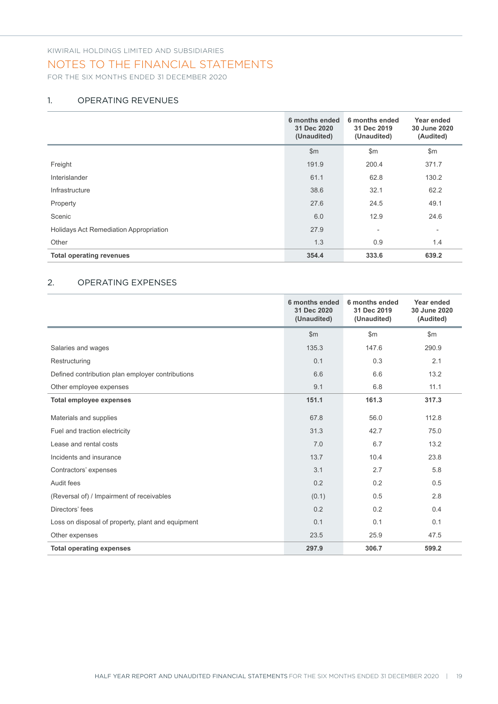#### NOTES TO THE FINANCIAL STATEMENTS

FOR THE SIX MONTHS ENDED 31 DECEMBER 2020

#### 1. OPERATING REVENUES

|                                        | 6 months ended<br>31 Dec 2020<br>(Unaudited) | 6 months ended<br>31 Dec 2019<br>(Unaudited) | Year ended<br>30 June 2020<br>(Audited) |
|----------------------------------------|----------------------------------------------|----------------------------------------------|-----------------------------------------|
|                                        | \$m\$                                        | \$m                                          | \$m\$                                   |
| Freight                                | 191.9                                        | 200.4                                        | 371.7                                   |
| Interislander                          | 61.1                                         | 62.8                                         | 130.2                                   |
| Infrastructure                         | 38.6                                         | 32.1                                         | 62.2                                    |
| Property                               | 27.6                                         | 24.5                                         | 49.1                                    |
| Scenic                                 | 6.0                                          | 12.9                                         | 24.6                                    |
| Holidays Act Remediation Appropriation | 27.9                                         | $\overline{\phantom{a}}$                     | $\overline{\phantom{a}}$                |
| Other                                  | 1.3                                          | 0.9                                          | 1.4                                     |
| <b>Total operating revenues</b>        | 354.4                                        | 333.6                                        | 639.2                                   |

#### 2. OPERATING EXPENSES

|                                                   | 6 months ended<br>31 Dec 2020<br>(Unaudited) | 6 months ended<br>31 Dec 2019<br>(Unaudited) | Year ended<br>30 June 2020<br>(Audited) |
|---------------------------------------------------|----------------------------------------------|----------------------------------------------|-----------------------------------------|
|                                                   | $\mathsf{Sm}$                                | $\mathsf{Sm}$                                | $\mathsf{Sm}$                           |
| Salaries and wages                                | 135.3                                        | 147.6                                        | 290.9                                   |
| Restructuring                                     | 0.1                                          | 0.3                                          | 2.1                                     |
| Defined contribution plan employer contributions  | 6.6                                          | 6.6                                          | 13.2                                    |
| Other employee expenses                           | 9.1                                          | 6.8                                          | 11.1                                    |
| <b>Total employee expenses</b>                    | 151.1                                        | 161.3                                        | 317.3                                   |
| Materials and supplies                            | 67.8                                         | 56.0                                         | 112.8                                   |
| Fuel and traction electricity                     | 31.3                                         | 42.7                                         | 75.0                                    |
| Lease and rental costs                            | 7.0                                          | 6.7                                          | 13.2                                    |
| Incidents and insurance                           | 13.7                                         | 10.4                                         | 23.8                                    |
| Contractors' expenses                             | 3.1                                          | 2.7                                          | 5.8                                     |
| Audit fees                                        | 0.2                                          | 0.2                                          | 0.5                                     |
| (Reversal of) / Impairment of receivables         | (0.1)                                        | 0.5                                          | 2.8                                     |
| Directors' fees                                   | 0.2                                          | 0.2                                          | 0.4                                     |
| Loss on disposal of property, plant and equipment | 0.1                                          | 0.1                                          | 0.1                                     |
| Other expenses                                    | 23.5                                         | 25.9                                         | 47.5                                    |
| <b>Total operating expenses</b>                   | 297.9                                        | 306.7                                        | 599.2                                   |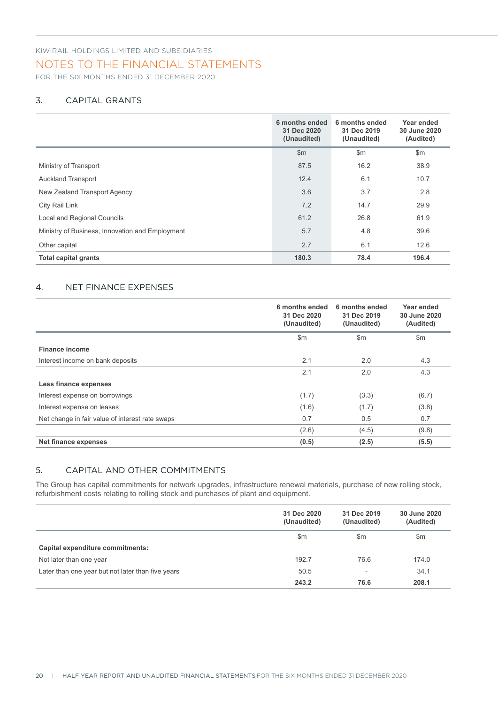#### NOTES TO THE FINANCIAL STATEMENTS

FOR THE SIX MONTHS ENDED 31 DECEMBER 2020

#### 3. CAPITAL GRANTS

|                                                 | 6 months ended<br>31 Dec 2020<br>(Unaudited) | 6 months ended<br>31 Dec 2019<br>(Unaudited) | Year ended<br>30 June 2020<br>(Audited) |
|-------------------------------------------------|----------------------------------------------|----------------------------------------------|-----------------------------------------|
|                                                 | \$m\$                                        | $\mathsf{Sm}$                                | $\mathsf{Sm}$                           |
| Ministry of Transport                           | 87.5                                         | 16.2                                         | 38.9                                    |
| <b>Auckland Transport</b>                       | 12.4                                         | 6.1                                          | 10.7                                    |
| New Zealand Transport Agency                    | 3.6                                          | 3.7                                          | 2.8                                     |
| City Rail Link                                  | 7.2                                          | 14.7                                         | 29.9                                    |
| Local and Regional Councils                     | 61.2                                         | 26.8                                         | 61.9                                    |
| Ministry of Business, Innovation and Employment | 5.7                                          | 4.8                                          | 39.6                                    |
| Other capital                                   | 2.7                                          | 6.1                                          | 12.6                                    |
| <b>Total capital grants</b>                     | 180.3                                        | 78.4                                         | 196.4                                   |

#### 4. NET FINANCE EXPENSES

|                                                 | 6 months ended<br>31 Dec 2020<br>(Unaudited) | 6 months ended<br>31 Dec 2019<br>(Unaudited) | Year ended<br>30 June 2020<br>(Audited) |
|-------------------------------------------------|----------------------------------------------|----------------------------------------------|-----------------------------------------|
|                                                 | $\mathsf{Sm}$                                | $\mathsf{Sm}$                                | $\mathsf{Sm}$                           |
| <b>Finance income</b>                           |                                              |                                              |                                         |
| Interest income on bank deposits                | 2.1                                          | 2.0                                          | 4.3                                     |
|                                                 | 2.1                                          | 2.0                                          | 4.3                                     |
| Less finance expenses                           |                                              |                                              |                                         |
| Interest expense on borrowings                  | (1.7)                                        | (3.3)                                        | (6.7)                                   |
| Interest expense on leases                      | (1.6)                                        | (1.7)                                        | (3.8)                                   |
| Net change in fair value of interest rate swaps | 0.7                                          | 0.5                                          | 0.7                                     |
|                                                 | (2.6)                                        | (4.5)                                        | (9.8)                                   |
| Net finance expenses                            | (0.5)                                        | (2.5)                                        | (5.5)                                   |

#### 5. CAPITAL AND OTHER COMMITMENTS

The Group has capital commitments for network upgrades, infrastructure renewal materials, purchase of new rolling stock, refurbishment costs relating to rolling stock and purchases of plant and equipment.

|                                                   | 31 Dec 2020<br>(Unaudited) | 31 Dec 2019<br>(Unaudited) | 30 June 2020<br>(Audited) |
|---------------------------------------------------|----------------------------|----------------------------|---------------------------|
|                                                   | $\mathsf{Sm}$              | $\mathsf{Sm}$              | $\mathsf{Sm}$             |
| Capital expenditure commitments:                  |                            |                            |                           |
| Not later than one year                           | 192.7                      | 76.6                       | 174.0                     |
| Later than one year but not later than five years | 50.5                       | $\overline{\phantom{a}}$   | 34.1                      |
|                                                   | 243.2                      | 76.6                       | 208.1                     |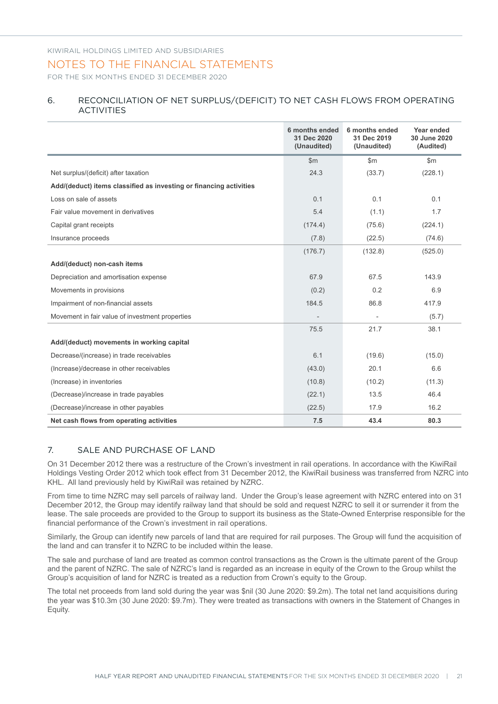#### NOTES TO THE FINANCIAL STATEMENTS

FOR THE SIX MONTHS ENDED 31 DECEMBER 2020

#### 6. RECONCILIATION OF NET SURPLUS/(DEFICIT) TO NET CASH FLOWS FROM OPERATING ACTIVITIES

|                                                                    | 6 months ended<br>31 Dec 2020<br>(Unaudited) | 6 months ended<br>31 Dec 2019<br>(Unaudited) | Year ended<br>30 June 2020<br>(Audited) |
|--------------------------------------------------------------------|----------------------------------------------|----------------------------------------------|-----------------------------------------|
|                                                                    | $\mathsf{Sm}$                                | $\mathsf{Sm}$                                | \$m\$                                   |
| Net surplus/(deficit) after taxation                               | 24.3                                         | (33.7)                                       | (228.1)                                 |
| Add/(deduct) items classified as investing or financing activities |                                              |                                              |                                         |
| Loss on sale of assets                                             | 0.1                                          | 0.1                                          | 0.1                                     |
| Fair value movement in derivatives                                 | 5.4                                          | (1.1)                                        | 1.7                                     |
| Capital grant receipts                                             | (174.4)                                      | (75.6)                                       | (224.1)                                 |
| Insurance proceeds                                                 | (7.8)                                        | (22.5)                                       | (74.6)                                  |
|                                                                    | (176.7)                                      | (132.8)                                      | (525.0)                                 |
| Add/(deduct) non-cash items                                        |                                              |                                              |                                         |
| Depreciation and amortisation expense                              | 67.9                                         | 67.5                                         | 143.9                                   |
| Movements in provisions                                            | (0.2)                                        | 0.2                                          | 6.9                                     |
| Impairment of non-financial assets                                 | 184.5                                        | 86.8                                         | 417.9                                   |
| Movement in fair value of investment properties                    |                                              |                                              | (5.7)                                   |
|                                                                    | 75.5                                         | 21.7                                         | 38.1                                    |
| Add/(deduct) movements in working capital                          |                                              |                                              |                                         |
| Decrease/(increase) in trade receivables                           | 6.1                                          | (19.6)                                       | (15.0)                                  |
| (Increase)/decrease in other receivables                           | (43.0)                                       | 20.1                                         | 6.6                                     |
| (Increase) in inventories                                          | (10.8)                                       | (10.2)                                       | (11.3)                                  |
| (Decrease)/increase in trade payables                              | (22.1)                                       | 13.5                                         | 46.4                                    |
| (Decrease)/increase in other payables                              | (22.5)                                       | 17.9                                         | 16.2                                    |
| Net cash flows from operating activities                           | 7.5                                          | 43.4                                         | 80.3                                    |

#### 7. SALE AND PURCHASE OF LAND

On 31 December 2012 there was a restructure of the Crown's investment in rail operations. In accordance with the KiwiRail Holdings Vesting Order 2012 which took effect from 31 December 2012, the KiwiRail business was transferred from NZRC into KHL. All land previously held by KiwiRail was retained by NZRC.

From time to time NZRC may sell parcels of railway land. Under the Group's lease agreement with NZRC entered into on 31 December 2012, the Group may identify railway land that should be sold and request NZRC to sell it or surrender it from the lease. The sale proceeds are provided to the Group to support its business as the State-Owned Enterprise responsible for the financial performance of the Crown's investment in rail operations.

Similarly, the Group can identify new parcels of land that are required for rail purposes. The Group will fund the acquisition of the land and can transfer it to NZRC to be included within the lease.

The sale and purchase of land are treated as common control transactions as the Crown is the ultimate parent of the Group and the parent of NZRC. The sale of NZRC's land is regarded as an increase in equity of the Crown to the Group whilst the Group's acquisition of land for NZRC is treated as a reduction from Crown's equity to the Group.

The total net proceeds from land sold during the year was \$nil (30 June 2020: \$9.2m). The total net land acquisitions during the year was \$10.3m (30 June 2020: \$9.7m). They were treated as transactions with owners in the Statement of Changes in Equity.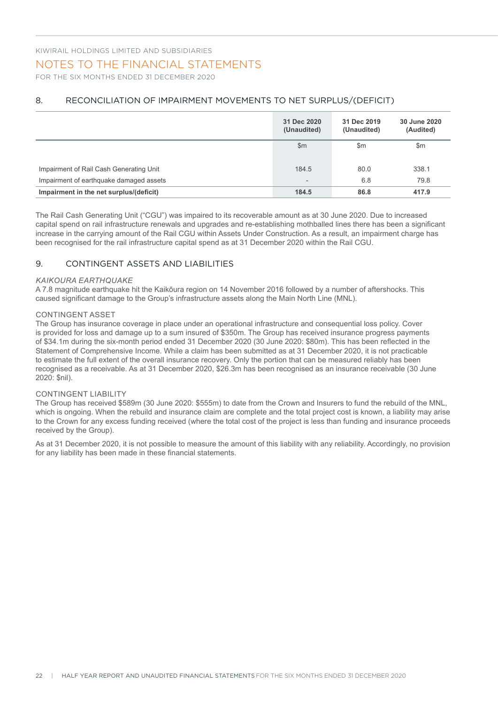#### NOTES TO THE FINANCIAL STATEMENTS

FOR THE SIX MONTHS ENDED 31 DECEMBER 2020

#### 8. RECONCILIATION OF IMPAIRMENT MOVEMENTS TO NET SURPLUS/(DEFICIT)

|                                         | 31 Dec 2020<br>(Unaudited) | 31 Dec 2019<br>(Unaudited) | 30 June 2020<br>(Audited) |
|-----------------------------------------|----------------------------|----------------------------|---------------------------|
|                                         | $\mathsf{Sm}$              | $\mathsf{Sm}$              | \$m                       |
| Impairment of Rail Cash Generating Unit | 184.5                      | 80.0                       | 338.1                     |
| Impairment of earthquake damaged assets | $\overline{\phantom{0}}$   | 6.8                        | 79.8                      |
| Impairment in the net surplus/(deficit) | 184.5                      | 86.8                       | 417.9                     |

The Rail Cash Generating Unit ("CGU") was impaired to its recoverable amount as at 30 June 2020. Due to increased capital spend on rail infrastructure renewals and upgrades and re-establishing mothballed lines there has been a significant increase in the carrying amount of the Rail CGU within Assets Under Construction. As a result, an impairment charge has been recognised for the rail infrastructure capital spend as at 31 December 2020 within the Rail CGU.

#### 9. CONTINGENT ASSETS AND LIABILITIES

#### *KAIKOURA EARTHQUAKE*

A 7.8 magnitude earthquake hit the Kaikōura region on 14 November 2016 followed by a number of aftershocks. This caused significant damage to the Group's infrastructure assets along the Main North Line (MNL).

#### CONTINGENT ASSET

The Group has insurance coverage in place under an operational infrastructure and consequential loss policy. Cover is provided for loss and damage up to a sum insured of \$350m. The Group has received insurance progress payments of \$34.1m during the six-month period ended 31 December 2020 (30 June 2020: \$80m). This has been reflected in the Statement of Comprehensive Income. While a claim has been submitted as at 31 December 2020, it is not practicable to estimate the full extent of the overall insurance recovery. Only the portion that can be measured reliably has been recognised as a receivable. As at 31 December 2020, \$26.3m has been recognised as an insurance receivable (30 June 2020: \$nil).

#### CONTINGENT LIABILITY

The Group has received \$589m (30 June 2020: \$555m) to date from the Crown and Insurers to fund the rebuild of the MNL, which is ongoing. When the rebuild and insurance claim are complete and the total project cost is known, a liability may arise to the Crown for any excess funding received (where the total cost of the project is less than funding and insurance proceeds received by the Group).

As at 31 December 2020, it is not possible to measure the amount of this liability with any reliability. Accordingly, no provision for any liability has been made in these financial statements.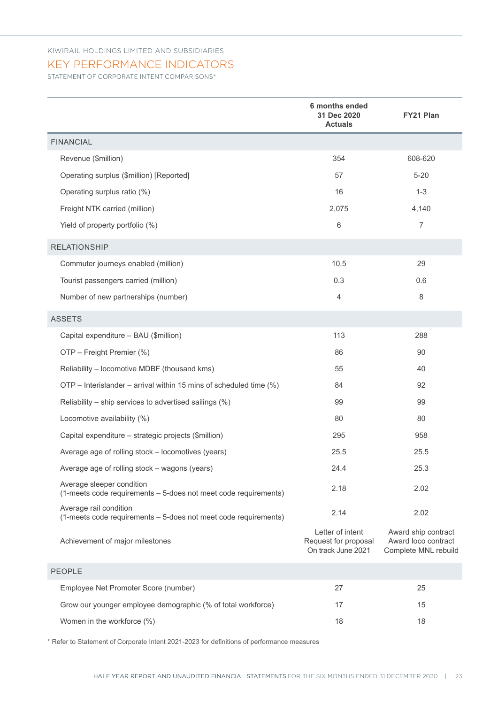#### KEY PERFORMANCE INDICATORS

STATEMENT OF CORPORATE INTENT COMPARISONS\*

|                                                                                              | 6 months ended<br>31 Dec 2020<br><b>Actuals</b>                | <b>FY21 Plan</b>                                                   |
|----------------------------------------------------------------------------------------------|----------------------------------------------------------------|--------------------------------------------------------------------|
| <b>FINANCIAL</b>                                                                             |                                                                |                                                                    |
| Revenue (\$million)                                                                          | 354                                                            | 608-620                                                            |
| Operating surplus (\$million) [Reported]                                                     | 57                                                             | $5 - 20$                                                           |
| Operating surplus ratio (%)                                                                  | 16                                                             | $1 - 3$                                                            |
| Freight NTK carried (million)                                                                | 2,075                                                          | 4,140                                                              |
| Yield of property portfolio (%)                                                              | 6                                                              | $\overline{7}$                                                     |
| <b>RELATIONSHIP</b>                                                                          |                                                                |                                                                    |
| Commuter journeys enabled (million)                                                          | 10.5                                                           | 29                                                                 |
| Tourist passengers carried (million)                                                         | 0.3                                                            | 0.6                                                                |
| Number of new partnerships (number)                                                          | $\overline{4}$                                                 | 8                                                                  |
| <b>ASSETS</b>                                                                                |                                                                |                                                                    |
| Capital expenditure - BAU (\$million)                                                        | 113                                                            | 288                                                                |
| OTP - Freight Premier (%)                                                                    | 86                                                             | 90                                                                 |
| Reliability - locomotive MDBF (thousand kms)                                                 | 55                                                             | 40                                                                 |
| OTP – Interislander – arrival within 15 mins of scheduled time (%)                           | 84                                                             | 92                                                                 |
| Reliability – ship services to advertised sailings (%)                                       | 99                                                             | 99                                                                 |
| Locomotive availability (%)                                                                  | 80                                                             | 80                                                                 |
| Capital expenditure - strategic projects (\$million)                                         | 295                                                            | 958                                                                |
| Average age of rolling stock - locomotives (years)                                           | 25.5                                                           | 25.5                                                               |
| Average age of rolling stock - wagons (years)                                                | 24.4                                                           | 25.3                                                               |
| Average sleeper condition<br>(1-meets code requirements - 5-does not meet code requirements) | 2.18                                                           | 2.02                                                               |
| Average rail condition<br>(1-meets code requirements - 5-does not meet code requirements)    | 2.14                                                           | 2.02                                                               |
| Achievement of major milestones                                                              | Letter of intent<br>Request for proposal<br>On track June 2021 | Award ship contract<br>Award loco contract<br>Complete MNL rebuild |
| <b>PEOPLE</b>                                                                                |                                                                |                                                                    |
| Employee Net Promoter Score (number)                                                         | 27                                                             | 25                                                                 |
| Grow our younger employee demographic (% of total workforce)                                 | 17                                                             | 15                                                                 |
| Women in the workforce (%)                                                                   | 18                                                             | 18                                                                 |

\* Refer to Statement of Corporate Intent 2021-2023 for definitions of performance measures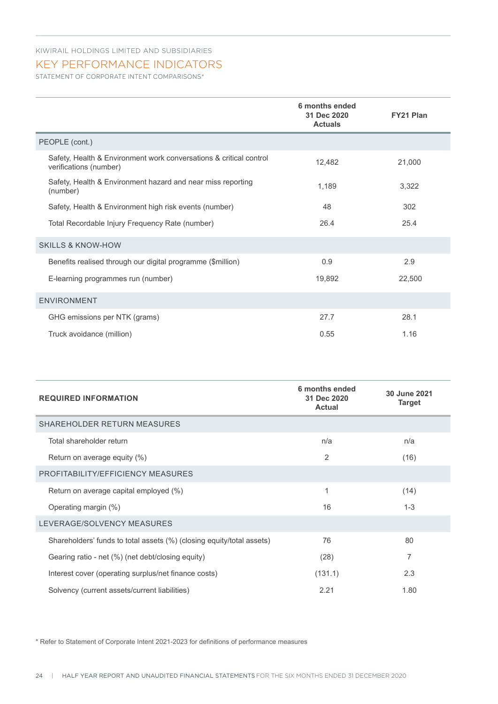#### KEY PERFORMANCE INDICATORS

STATEMENT OF CORPORATE INTENT COMPARISONS\*

|                                                                                              | 6 months ended<br>31 Dec 2020<br><b>Actuals</b> | <b>FY21 Plan</b> |
|----------------------------------------------------------------------------------------------|-------------------------------------------------|------------------|
| PEOPLE (cont.)                                                                               |                                                 |                  |
| Safety, Health & Environment work conversations & critical control<br>verifications (number) | 12,482                                          | 21,000           |
| Safety, Health & Environment hazard and near miss reporting<br>(number)                      | 1,189                                           | 3,322            |
| Safety, Health & Environment high risk events (number)                                       | 48                                              | 302              |
| Total Recordable Injury Frequency Rate (number)                                              | 26.4                                            | 25.4             |
| <b>SKILLS &amp; KNOW-HOW</b>                                                                 |                                                 |                  |
| Benefits realised through our digital programme (\$million)                                  | 0.9                                             | 2.9              |
| E-learning programmes run (number)                                                           | 19,892                                          | 22,500           |
| <b>ENVIRONMENT</b>                                                                           |                                                 |                  |
| GHG emissions per NTK (grams)                                                                | 27.7                                            | 28.1             |
| Truck avoidance (million)                                                                    | 0.55                                            | 1.16             |

| <b>REQUIRED INFORMATION</b>                                           | 6 months ended<br>31 Dec 2020<br><b>Actual</b> | 30 June 2021<br><b>Target</b> |
|-----------------------------------------------------------------------|------------------------------------------------|-------------------------------|
| <b>SHAREHOLDER RETURN MEASURES</b>                                    |                                                |                               |
| Total shareholder return                                              | n/a                                            | n/a                           |
| Return on average equity (%)                                          | 2                                              | (16)                          |
| PROFITABILITY/EFFICIENCY MEASURES                                     |                                                |                               |
| Return on average capital employed (%)                                | 1                                              | (14)                          |
| Operating margin (%)                                                  | 16                                             | $1 - 3$                       |
| LEVERAGE/SOLVENCY MEASURES                                            |                                                |                               |
| Shareholders' funds to total assets (%) (closing equity/total assets) | 76                                             | 80                            |
| Gearing ratio - net (%) (net debt/closing equity)                     | (28)                                           | 7                             |
| Interest cover (operating surplus/net finance costs)                  | (131.1)                                        | 2.3                           |
| Solvency (current assets/current liabilities)                         | 2.21                                           | 1.80                          |

\* Refer to Statement of Corporate Intent 2021-2023 for definitions of performance measures